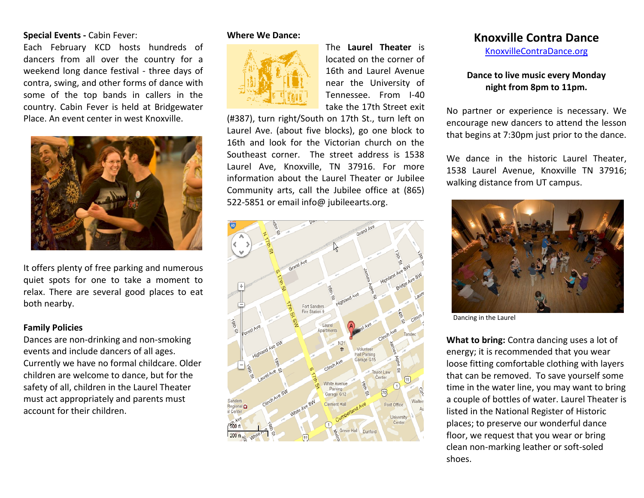## **Special Events -** Cabin Fever:

Each February KCD hosts hundreds of dancers from all over the country for a weekend long dance festival - three days of contra, swing, and other forms of dance with some of the top bands in callers in the country. Cabin Fever is held at Bridgewater Place. An event center in west Knoxville.



It offers plenty of free parking and numerous quiet spots for one to take a moment to relax. There are several good places to eat both nearby.

#### **Family Policies**

Dances are non-drinking and non-smoking events and include dancers of all ages. Currently we have no formal childcare. Older children are welcome to dance, but for the safety of all, children in the Laurel Theater must act appropriately and parents must account for their children.

#### **Where We Dance:**



The **Laurel Theater** is located on the corner of 16th and Laurel Avenue near the University of Tennessee. From I-40 take the 17th Street exit

(#387), turn right/South on 17th St., turn left on Laurel Ave. (about five blocks), go one block to 16th and look for the Victorian church on the Southeast corner. The street address is 1538 Laurel Ave, Knoxville, TN 37916. For more information about the Laurel Theater or Jubilee Community arts, call the Jubilee office at (865) 522-5851 or email info@ jubileearts.org.



# **Knoxville Contra Dance**

[KnoxvilleContraDance.org](http://www.knoxvillecontradance.org/)

## **Dance to live music every Monday night from 8pm to 11pm.**

No partner or experience is necessary. We encourage new dancers to attend the lesson that begins at 7:30pm just prior to the dance.

We dance in the historic Laurel Theater. 1538 Laurel Avenue, Knoxville TN 37916; walking distance from UT campus.



Dancing in the Laurel

**What to bring:** Contra dancing uses a lot of energy; it is recommended that you wear loose fitting comfortable clothing with layers that can be removed. To save yourself some time in the water line, you may want to bring a couple of bottles of water. Laurel Theater is listed in the National Register of Historic places; to preserve our wonderful dance floor, we request that you wear or bring clean non-marking leather or soft-soled shoes.